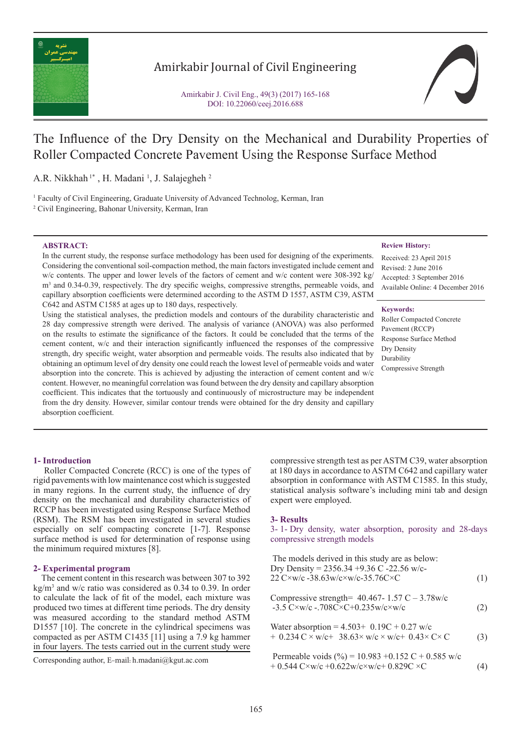

# Amirkabir Journal of Civil Engineering

Amirkabir J. Civil Eng., 49(3) (2017) 165-168 DOI: 10.22060/ceej.2016.688

# The Influence of the Dry Density on the Mechanical and Durability Properties of Roller Compacted Concrete Pavement Using the Response Surface Method

A.R. Nikkhah<sup>1\*</sup>, H. Madani<sup>1</sup>, J. Salajegheh<sup>2</sup>

1 Faculty of Civil Engineering, Graduate University of Advanced Technolog, Kerman, Iran

2 Civil Engineering, Bahonar University, Kerman, Iran

### **ABSTRACT:**

In the current study, the response surface methodology has been used for designing of the experiments. Considering the conventional soil-compaction method, the main factors investigated include cement and w/c contents. The upper and lower levels of the factors of cement and w/c content were  $308-392$  kg/ m<sup>3</sup> and 0.34-0.39, respectively. The dry specific weighs, compressive strengths, permeable voids, and capillary absorption coefficients were determined according to the ASTM D 1557, ASTM C39, ASTM C642 and ASTM C1585 at ages up to 180 days, respectively.

Using the statistical analyses, the prediction models and contours of the durability characteristic and 28 day compressive strength were derived. The analysis of variance (ANOVA) was also performed on the results to estimate the significance of the factors. It could be concluded that the terms of the cement content, w/c and their interaction significantly influenced the responses of the compressive strength, dry specific weight, water absorption and permeable voids. The results also indicated that by obtaining an optimum level of dry density one could reach the lowest level of permeable voids and water absorption into the concrete. This is achieved by adjusting the interaction of cement content and w/c content. However, no meaningful correlation was found between the dry density and capillary absorption coefficient. This indicates that the tortuously and continuously of microstructure may be independent from the dry density. However, similar contour trends were obtained for the dry density and capillary absorption coefficient.

#### **Review History:**

Received: 23 April 2015 Revised: 2 June 2016 Accepted: 3 September 2016 Available Online: 4 December 2016

# **Keywords:**

Roller Compacted Concrete Pavement (RCCP) Response Surface Method Dry Density Durability Compressive Strength

# **1- Introduction**

 Roller Compacted Concrete (RCC) is one of the types of rigid pavements with low maintenance cost which is suggested in many regions. In the current study, the influence of dry density on the mechanical and durability characteristics of RCCP has been investigated using Response Surface Method (RSM). The RSM has been investigated in several studies especially on self compacting concrete [1-7]. Response surface method is used for determination of response using the minimum required mixtures [8].

### **2- Experimental program**

 The cement content in this research was between 307 to 392 kg/m3 and w/c ratio was considered as 0.34 to 0.39. In order to calculate the lack of fit of the model, each mixture was produced two times at different time periods. The dry density was measured according to the standard method ASTM D1557 [10]. The concrete in the cylindrical specimens was compacted as per ASTM C1435 [11] using a 7.9 kg hammer in four layers. The tests carried out in the current study were

compressive strength test as per ASTM C39, water absorption at 180 days in accordance to ASTM C642 and capillary water absorption in conformance with ASTM C1585. In this study, statistical analysis software's including mini tab and design expert were employed.

### **3- Results**

3- 1- Dry density, water absorption, porosity and 28-days compressive strength models

| The models derived in this study are as below:<br>Dry Density = $2356.34 + 9.36$ C -22.56 w/c-<br>22 C×w/c-38.63w/c×w/c-35.76C×C | (1) |
|----------------------------------------------------------------------------------------------------------------------------------|-----|
| Compressive strength= $40.467 - 1.57$ C $- 3.78$ w/c<br>$-3.5$ C $\times$ w/c $-.708$ C $\times$ C $+0.235$ w/c $\times$ w/c     | (2) |
| Water absorption = $4.503 + 0.19C + 0.27$ w/c<br>+ 0.234 $C \times w/c + 38.63 \times w/c \times w/c + 0.43 \times C \times C$   | (3) |

Permeable voids (%) =  $10.983 + 0.152$  C + 0.585 w/c  $\text{Corresponding author, E-mail: h.madan@kgut.ac.com}\n \text{Permeable voids (\%)=10.983 +0.152 C + 0.585 W/C\n \text{+} 0.544 C \times W/c + 0.622 W/c \times W/c + 0.829 C \times C\n \text{---}\n \tag{4}$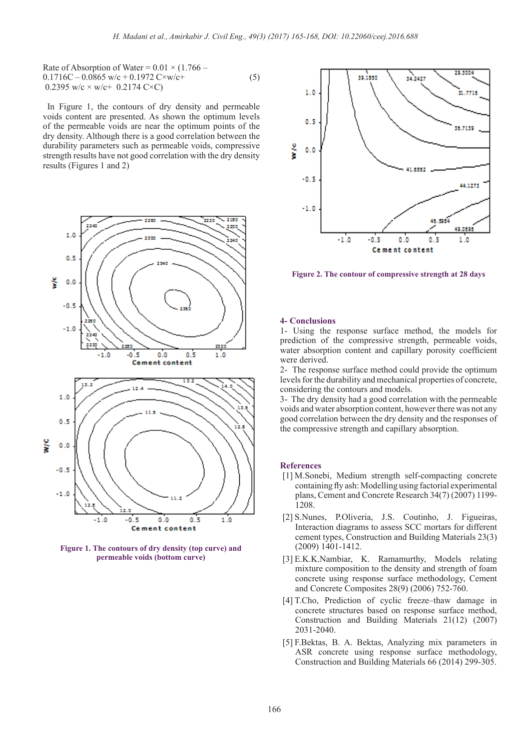Rate of Absorption of Water =  $0.01 \times (1.766 0.1716C - 0.0865$  w/c +  $0.1972$  C×w/c+ (5) 0.2395 w/c  $\times$  w/c + 0.2174 C $\times$ C)

 In Figure 1, the contours of dry density and permeable voids content are presented. As shown the optimum levels of the permeable voids are near the optimum points of the dry density. Although there is a good correlation between the durability parameters such as permeable voids, compressive strength results have not good correlation with the dry density results (Figures 1 and 2)



**Figure 1. The contours of dry density (top curve) and permeable voids (bottom curve)**



**Figure 2. The contour of compressive strength at 28 days**

#### **4- Conclusions**

1- Using the response surface method, the models for prediction of the compressive strength, permeable voids, water absorption content and capillary porosity coefficient were derived.

2- The response surface method could provide the optimum levels for the durability and mechanical properties of concrete, considering the contours and models.

3- The dry density had a good correlation with the permeable voids and water absorption content, however there was not any good correlation between the dry density and the responses of the compressive strength and capillary absorption.

#### **References**

- [1] M.Sonebi, Medium strength self-compacting concrete containing fly ash: Modelling using factorial experimental plans, Cement and Concrete Research 34(7) (2007) 1199- 1208.
- [2] S.Nunes, P.Oliveria, J.S. Coutinho, J. Figueiras, Interaction diagrams to assess SCC mortars for different cement types, Construction and Building Materials 23(3) (2009) 1401-1412.
- [3] E.K.K.Nambiar, K. Ramamurthy, Models relating mixture composition to the density and strength of foam concrete using response surface methodology, Cement and Concrete Composites 28(9) (2006) 752-760.
- [4] T.Cho, Prediction of cyclic freeze–thaw damage in concrete structures based on response surface method, Construction and Building Materials 21(12) (2007) 2031-2040.
- [5] F.Bektas, B. A. Bektas, Analyzing mix parameters in ASR concrete using response surface methodology, Construction and Building Materials 66 (2014) 299-305.